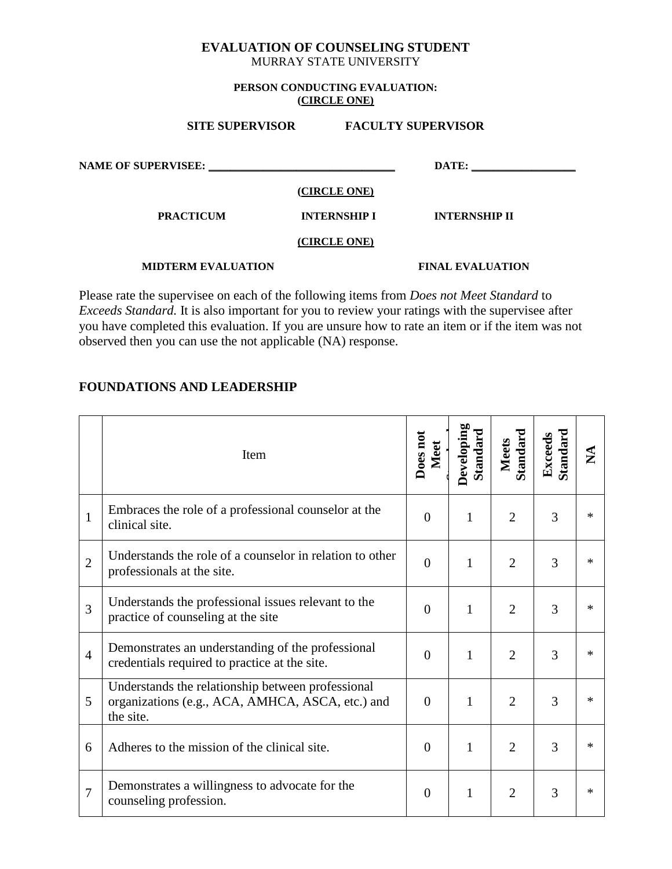#### **EVALUATION OF COUNSELING STUDENT** MURRAY STATE UNIVERSITY

#### **PERSON CONDUCTING EVALUATION: (CIRCLE ONE)**

| <b>SITE SUPERVISOR</b>     |                     | <b>FACULTY SUPERVISOR</b> |  |
|----------------------------|---------------------|---------------------------|--|
| <b>NAME OF SUPERVISEE:</b> |                     | DATE:                     |  |
|                            | (CIRCLE ONE)        |                           |  |
| <b>PRACTICUM</b>           | <b>INTERNSHIP I</b> | <b>INTERNSHIP II</b>      |  |
|                            | (CIRCLE ONE)        |                           |  |
| <b>MIDTERM EVALUATION</b>  |                     | <b>FINAL EVALUATION</b>   |  |

Please rate the supervisee on each of the following items from *Does not Meet Standard* to *Exceeds Standard.* It is also important for you to review your ratings with the supervisee after you have completed this evaluation. If you are unsure how to rate an item or if the item was not observed then you can use the not applicable (NA) response.

### **FOUNDATIONS AND LEADERSHIP**

|                | Item                                                                                                               | Does not<br>Meet | Developing<br>Standard | Standard<br><b>Meets</b> | Standard<br>Exceeds | $\mathbf{\Sigma}$ |
|----------------|--------------------------------------------------------------------------------------------------------------------|------------------|------------------------|--------------------------|---------------------|-------------------|
| $\mathbf{1}$   | Embraces the role of a professional counselor at the<br>clinical site.                                             | $\overline{0}$   | 1                      | $\overline{2}$           | 3                   | ∗                 |
| $\overline{2}$ | Understands the role of a counselor in relation to other<br>professionals at the site.                             | $\overline{0}$   | 1                      | $\overline{2}$           | 3                   | ∗                 |
| 3              | Understands the professional issues relevant to the<br>practice of counseling at the site                          | $\overline{0}$   | $\mathbf{1}$           | $\overline{2}$           | 3                   | $\ast$            |
| $\overline{4}$ | Demonstrates an understanding of the professional<br>credentials required to practice at the site.                 | $\overline{0}$   | $\mathbf{1}$           | $\overline{2}$           | 3                   | $\ast$            |
| 5              | Understands the relationship between professional<br>organizations (e.g., ACA, AMHCA, ASCA, etc.) and<br>the site. | $\overline{0}$   | $\mathbf{1}$           | $\overline{2}$           | 3                   | $\ast$            |
| 6              | Adheres to the mission of the clinical site.                                                                       | $\overline{0}$   | 1                      | $\overline{2}$           | 3                   | ∗                 |
| $\overline{7}$ | Demonstrates a willingness to advocate for the<br>counseling profession.                                           | $\theta$         | $\mathbf{1}$           | $\overline{2}$           | 3                   | $\ast$            |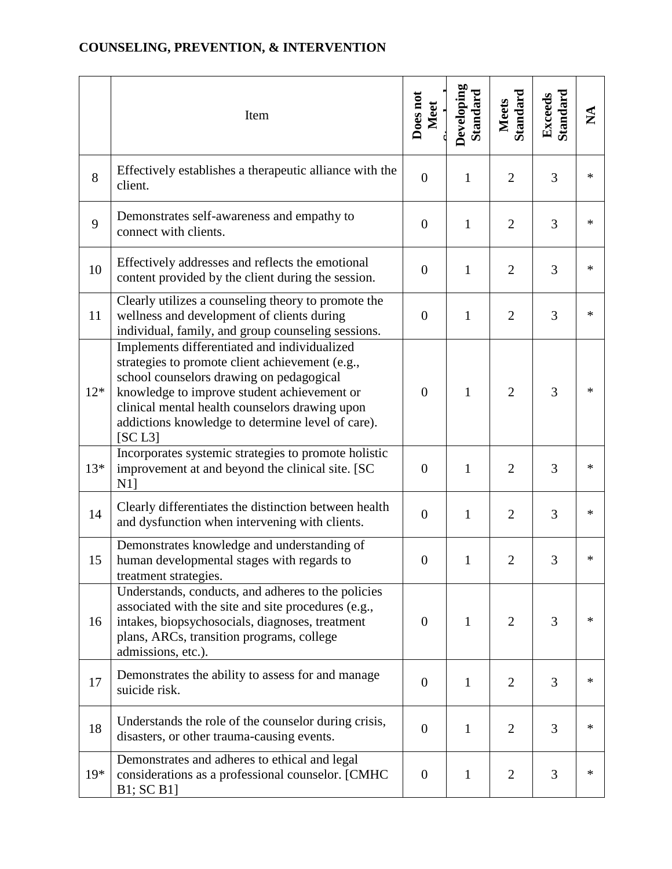#### Item **Does not Meet Developing Developing Standard Meets Standard Exceeds Standard NA** 8 Effectively establishes a therapeutic alliance with the client. <sup>0</sup> <sup>1</sup> <sup>2</sup> <sup>3</sup> \* 9 Demonstrates self-awareness and empathy to connect with clients. <sup>0</sup> <sup>1</sup> <sup>2</sup> <sup>3</sup> \* 10 Effectively addresses and reflects the emotional content provided by the client during the session. <sup>0</sup> <sup>1</sup> <sup>2</sup> <sup>3</sup> \* 11 Clearly utilizes a counseling theory to promote the wellness and development of clients during individual, family, and group counseling sessions.  $0 \mid 1 \mid 2 \mid 3 \mid *$ 12\* Implements differentiated and individualized strategies to promote client achievement (e.g., school counselors drawing on pedagogical knowledge to improve student achievement or clinical mental health counselors drawing upon addictions knowledge to determine level of care). [SC L3]  $0 \mid 1 \mid 2 \mid 3 \mid *$ 13\* Incorporates systemic strategies to promote holistic improvement at and beyond the clinical site. [SC N1]  $0 \mid 1 \mid 2 \mid 3 \mid *$  $14$  Clearly differentiates the distinction between health and dysfunction when intervening with clients. <sup>0</sup> <sup>1</sup> <sup>2</sup> <sup>3</sup> \* 15 Demonstrates knowledge and understanding of human developmental stages with regards to treatment strategies.  $0 \mid 1 \mid 2 \mid 3 \mid *$ 16 Understands, conducts, and adheres to the policies associated with the site and site procedures (e.g., intakes, biopsychosocials, diagnoses, treatment plans, ARCs, transition programs, college admissions, etc.).  $0 \mid 1 \mid 2 \mid 3 \mid *$ <sup>17</sup> Demonstrates the ability to assess for and manage suicide risk. <sup>0</sup> <sup>1</sup> <sup>2</sup> <sup>3</sup> \*  $18$  Understands the role of the counselor during crisis, disasters, or other trauma-causing events.  $\begin{vmatrix} 0 & 1 & 2 & 3 \end{vmatrix}$  \* 19\* Demonstrates and adheres to ethical and legal considerations as a professional counselor. [CMHC B1; SC B1]  $0 \mid 1 \mid 2 \mid 3 \mid *$

### **COUNSELING, PREVENTION, & INTERVENTION**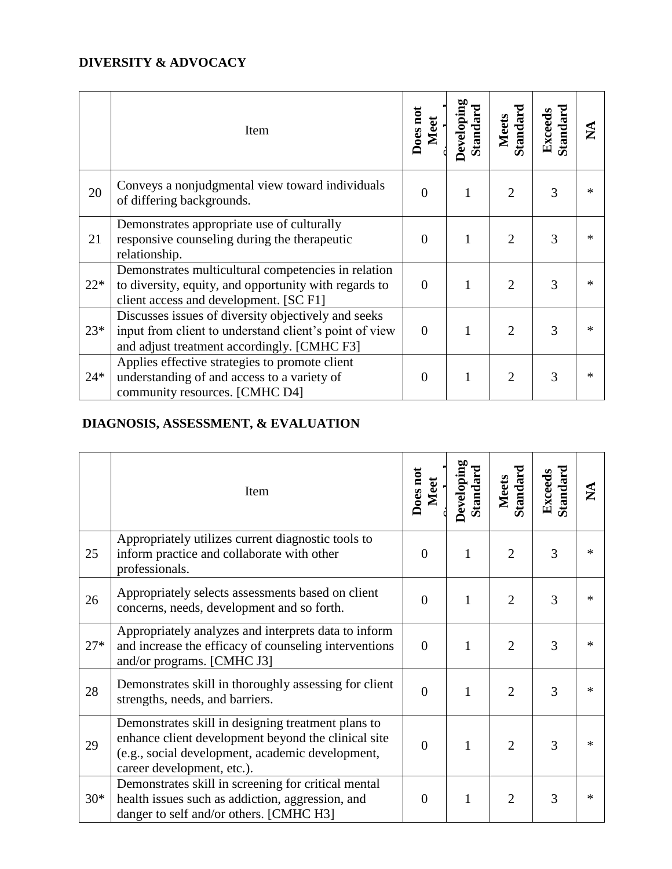# **DIVERSITY & ADVOCACY**

|       | Item                                                                                                                                                         | Does not<br>Meet | Developing<br>Standard | Standard<br><b>Meets</b> | Standard<br>Exceeds | $\mathbf{X}$ |
|-------|--------------------------------------------------------------------------------------------------------------------------------------------------------------|------------------|------------------------|--------------------------|---------------------|--------------|
| 20    | Conveys a nonjudgmental view toward individuals<br>of differing backgrounds.                                                                                 | $\Omega$         |                        | $\overline{2}$           | 3                   | ∗            |
| 21    | Demonstrates appropriate use of culturally<br>responsive counseling during the therapeutic<br>relationship.                                                  | $\Omega$         |                        | $\overline{2}$           | 3                   | $\ast$       |
| $22*$ | Demonstrates multicultural competencies in relation<br>to diversity, equity, and opportunity with regards to<br>client access and development. [SC F1]       | $\Omega$         |                        | $\overline{2}$           | 3                   | $\ast$       |
| $23*$ | Discusses issues of diversity objectively and seeks<br>input from client to understand client's point of view<br>and adjust treatment accordingly. [CMHC F3] | $\Omega$         |                        | $\overline{2}$           | 3                   | ∗            |
| $24*$ | Applies effective strategies to promote client<br>understanding of and access to a variety of<br>community resources. [CMHC D4]                              | $\overline{0}$   |                        | $\overline{2}$           | 3                   | $\ast$       |

### **DIAGNOSIS, ASSESSMENT, & EVALUATION**

|       | Item                                                                                                                                                                                        | Does not<br>Meet | Developing<br>Standard | Standard<br><b>Meets</b> | Standard<br>Exceeds | $\mathbf{\Sigma}$ |
|-------|---------------------------------------------------------------------------------------------------------------------------------------------------------------------------------------------|------------------|------------------------|--------------------------|---------------------|-------------------|
| 25    | Appropriately utilizes current diagnostic tools to<br>inform practice and collaborate with other<br>professionals.                                                                          | $\theta$         | 1                      | $\overline{2}$           | 3                   | ∗                 |
| 26    | Appropriately selects assessments based on client<br>concerns, needs, development and so forth.                                                                                             | $\Omega$         | $\mathbf{1}$           | $\overline{2}$           | 3                   | $\ast$            |
| $27*$ | Appropriately analyzes and interprets data to inform<br>and increase the efficacy of counseling interventions<br>and/or programs. [CMHC J3]                                                 | $\overline{0}$   | 1                      | $\overline{2}$           | 3                   | $\ast$            |
| 28    | Demonstrates skill in thoroughly assessing for client<br>strengths, needs, and barriers.                                                                                                    | $\Omega$         | 1                      | $\overline{2}$           | 3                   | $\ast$            |
| 29    | Demonstrates skill in designing treatment plans to<br>enhance client development beyond the clinical site<br>(e.g., social development, academic development,<br>career development, etc.). | $\theta$         | 1                      | $\overline{2}$           | 3                   | $\ast$            |
| $30*$ | Demonstrates skill in screening for critical mental<br>health issues such as addiction, aggression, and<br>danger to self and/or others. [CMHC H3]                                          | $\Omega$         | 1                      | $\overline{2}$           | 3                   | $\ast$            |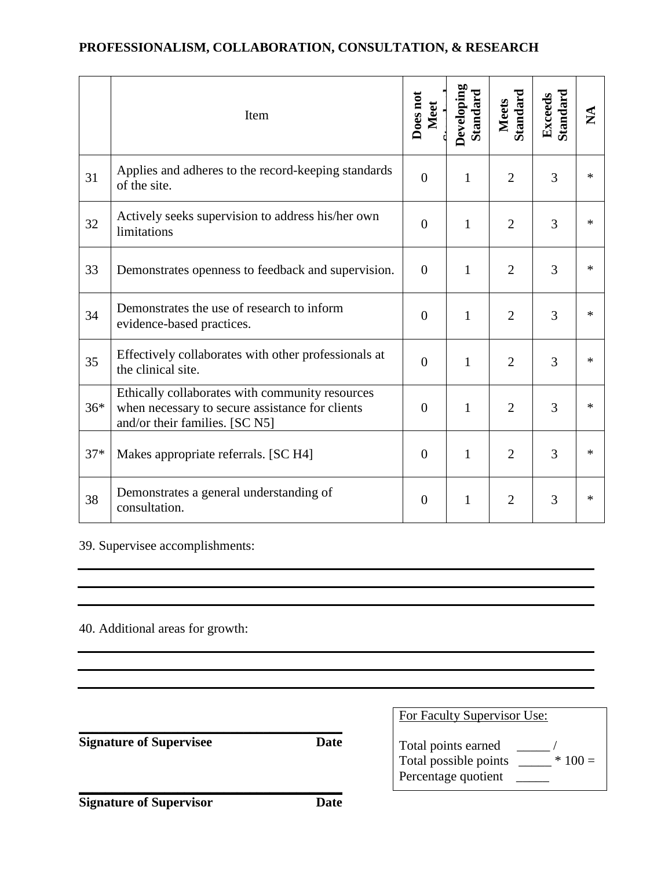# **PROFESSIONALISM, COLLABORATION, CONSULTATION, & RESEARCH**

|       | Item                                                                                                                                 | Does not<br>Meet | Developing<br>Standard | <b>Standard</b><br><b>Meets</b> | <b>Standard</b><br>Exceeds | $\mathbf{\Sigma}$ |
|-------|--------------------------------------------------------------------------------------------------------------------------------------|------------------|------------------------|---------------------------------|----------------------------|-------------------|
| 31    | Applies and adheres to the record-keeping standards<br>of the site.                                                                  | $\overline{0}$   | $\mathbf{1}$           | $\overline{2}$                  | 3                          | $\ast$            |
| 32    | Actively seeks supervision to address his/her own<br>limitations                                                                     | $\overline{0}$   | $\mathbf{1}$           | $\overline{2}$                  | 3                          | $\ast$            |
| 33    | Demonstrates openness to feedback and supervision.                                                                                   | $\overline{0}$   | $\mathbf{1}$           | $\overline{2}$                  | 3                          | $\ast$            |
| 34    | Demonstrates the use of research to inform<br>evidence-based practices.                                                              | $\Omega$         | $\mathbf{1}$           | $\overline{2}$                  | 3                          | $\ast$            |
| 35    | Effectively collaborates with other professionals at<br>the clinical site.                                                           | $\overline{0}$   | $\mathbf{1}$           | $\overline{2}$                  | 3                          | $\ast$            |
| $36*$ | Ethically collaborates with community resources<br>when necessary to secure assistance for clients<br>and/or their families. [SC N5] | $\overline{0}$   | $\mathbf{1}$           | $\overline{2}$                  | 3                          | $\ast$            |
| $37*$ | Makes appropriate referrals. [SC H4]                                                                                                 | $\overline{0}$   | $\mathbf{1}$           | $\overline{2}$                  | 3                          | $\ast$            |
| 38    | Demonstrates a general understanding of<br>consultation.                                                                             | $\overline{0}$   | $\mathbf{1}$           | $\overline{2}$                  | 3                          | $\ast$            |

39. Supervisee accomplishments:

40. Additional areas for growth:

| <b>Signature of Supervisee</b> | Date | For Faculty Supervisor Use:<br>Total points earned<br>Total possible points _______<br>$*100 =$ |
|--------------------------------|------|-------------------------------------------------------------------------------------------------|
|                                |      | Percentage quotient                                                                             |
| <b>Signature of Supervisor</b> | Date |                                                                                                 |